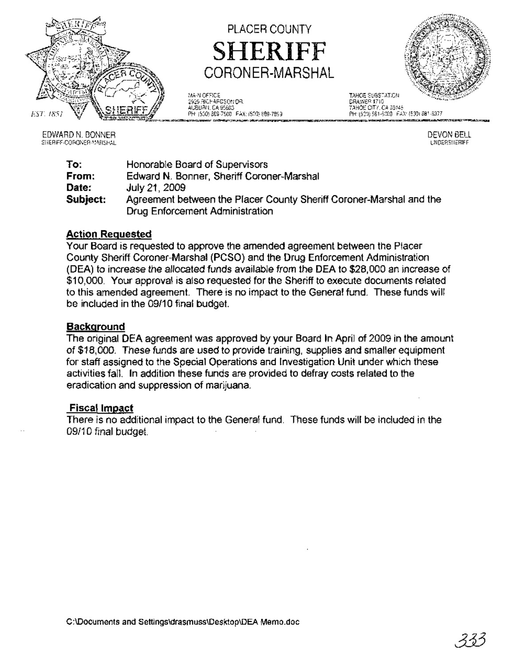

EDWARD N. BONNER SHERIFF-CORONER-MARSHAL

PLACER COUNTY SHERIFF CORONER-MARSHAL

MAIN OFFICE TAHOE SUBSTATION 2929 RICHARDSON OR.<br>AUBURN, DA 95603 AUBURN, CA 95603 TAHOE CITY, CA 96145 ~~~~~"=",,o==~P~H:::(;;,53~O)~~"';:~~:::~~~:~~:~~~~



DEVON BELL UNDERSHERIFF

To: From: Date: Subject: Honorable Board of Supervisors Edward N. Bonner, Sheriff Coroner-Marshal July 21, 2009 Agreement between the Placer County Sheriff Coroner-Marshal and the Drug Enforcement Administration

### Action Requested

Your Board is requested to approve the amended agreement between the Placer County Sheriff Coroner-Marshal (PCSO) and the Drug Enforcement Administration (DEA) to increase the allocated funds available from the DEA to \$28,000 an increase of \$10,000. Your approval is also requested for the Sheriff to execute documents related to this amended agreement. There is no impact to the General fund. These funds will be included in the 09/10 final budget.

### **Background**

The original DEA agreement was approved by your Board In April of 2009 in the amount of \$18,000. These funds are used to provide training, supplies and smaller equipment for staff assigned to the Special Operations and Investigation Unit under which these activities fall. In addition these funds are provided to defray costs related to the eradication and suppression of marijuana.

### Fiscal Impact

There is no additional impact to the General fund. These funds will be included in the 09/10 final budget.

C:\Documents and Settings\drasmuss\Desktop\DEA Memo.doc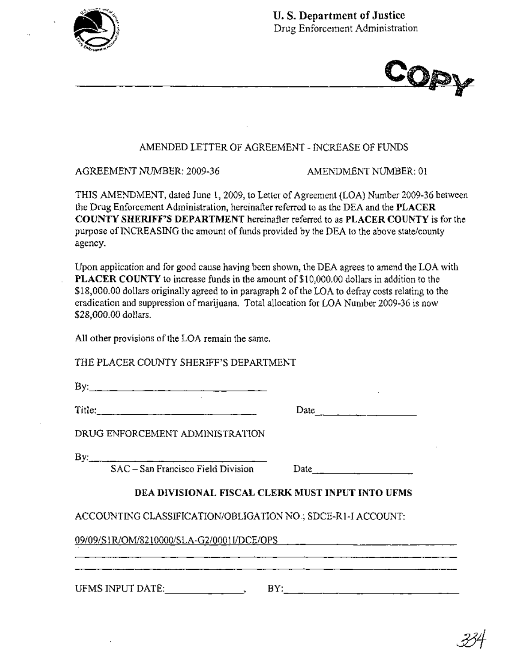



### AMENDED LETTER OF AGREEMENT - INCREASE OF FUNDS

AGREEMENT NUMBER: 2009-36 AMENDMENT NUMBER: 01

THIS AMENDMENT, dated June 1, 2009, to Letter of Agreement (LOA) Number 2009-36 between the Drug Enforcement Administration, hereinafter referred to as the DEA and the **PLACER COUNTY SHERIFF'S DEPARTMENT** hereinafter referred to as **PLACER COUNTY** is for the purpose of INCREASING the amount of funds provided by the DEA to the above state/county agency.

Upon application and for good cause having been shown, the DEA agrees to amend the LOA with **PLACER COUNTY** to increase funds in the amount of \$1 0,000.00 dollars in addition to the \$18,000.00 dollars originally agreed to in paragraph 2 of the LOA to defray costs relating to the eradication and suppression of marijuana. Total allocation for LOA Number 2009-36 is now \$28,000.00 dollars.

All other provisions of the LOA remain the same.

THE PLACER COUNTY SHERIFF'S DEPARTMENT

By: \_

 $Title:$ 

Date---------

DRUG ENFORCEMENT ADMINISTRATION

 $By:$ 

SAC - San Francisco Field Division Date

## **DEA DIVISIONAL FISCAL CLERK MUST INPUT INTO UFMS**

ACCOUNTING CLASSIFICATION/OBLIGATION NO.; SDCE-R1-I ACCOUNT:

09/09/S1R/OM/821 OOOO/SLA-G2/0001I1DCE/OPS

UFMS INPUT DATE:  $\qquad \qquad , \qquad BV: \qquad \qquad \qquad .$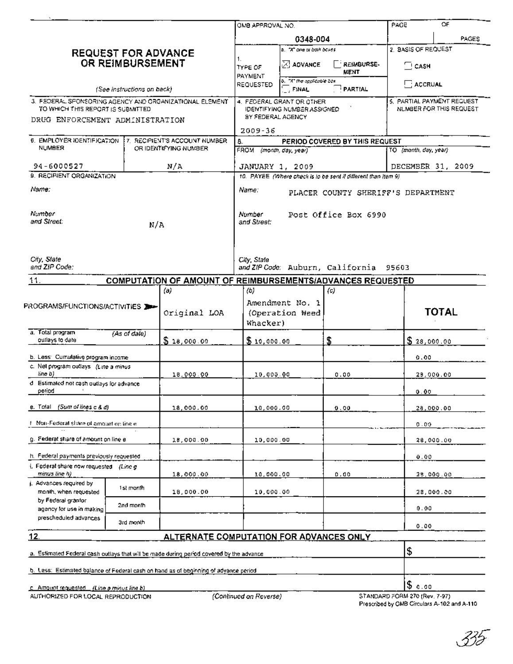|                                                                                                                                                |              |                                                                 | OMB APPROVAL NO.                                                                                              |                                                  |                       | PAGE                                                                         | OF                                                    |
|------------------------------------------------------------------------------------------------------------------------------------------------|--------------|-----------------------------------------------------------------|---------------------------------------------------------------------------------------------------------------|--------------------------------------------------|-----------------------|------------------------------------------------------------------------------|-------------------------------------------------------|
|                                                                                                                                                |              |                                                                 |                                                                                                               | 0348-004                                         |                       |                                                                              | PAGES                                                 |
| <b>REQUEST FOR ADVANCE</b><br>OR REIMBURSEMENT                                                                                                 |              |                                                                 | 1.<br>TYPE OF<br>PAYMENT                                                                                      | a. "X" one or both boxes.<br>$\boxtimes$ advance | REIMBURSE-<br>MENT    | 2. BASIS OF REQUEST<br>$\square$ CASH                                        |                                                       |
| (See instructions on back)                                                                                                                     |              |                                                                 | REQUESTED                                                                                                     | b, "X" the applicable box<br>FINAL               | PARTIAL               | ACCRUAL                                                                      |                                                       |
| 3. FEDERAL SPONSORING AGENCY AND GROANIZATIONAL ELEMENT<br>TO WHICH THIS REPORT IS SUBMITTED.<br>DRUG ENFORCEMENT ADMINISTRATION               |              |                                                                 | 4. FEDERAL GRANT OR CTHER<br><b>IDENTIFYING NUMBER ASSIGNED</b><br>BY FEDERAL AGENCY                          |                                                  |                       |                                                                              | 5. PARTIAL PAYMENT REGUEST<br>NUMBER FOR THIS REQUEST |
|                                                                                                                                                |              |                                                                 | 2009-36                                                                                                       |                                                  |                       |                                                                              |                                                       |
| 6. EMPLOYER IDENTIFICATION<br><b>17. RECIPIENT'S ACCOUNT NUMBER</b><br>NUMBER<br>OR IDENTIFYING NUMBER                                         |              | 8.<br>PERIOD COVERED BY THIS REQUEST<br>FROM (month, day, year) |                                                                                                               |                                                  | TO (month, day, year) |                                                                              |                                                       |
| 94-6000527                                                                                                                                     |              | N/A                                                             | JANUARY 1, 2009                                                                                               |                                                  | DECEMBER 31, 2009     |                                                                              |                                                       |
| 9. RECIPIENT ORGANIZATION<br>Name:                                                                                                             |              |                                                                 | 10. PAYEE (Where check is to be sent if different than Item 9)<br>Name:<br>PLACER COUNTY SHERIFF'S DEPARTMENT |                                                  |                       |                                                                              |                                                       |
| Number<br>and Street:<br>N/A                                                                                                                   |              |                                                                 | Number<br>Post Office Box 6990<br>and Street:                                                                 |                                                  |                       |                                                                              |                                                       |
| City, State<br>and ZIP Code:                                                                                                                   |              |                                                                 | City, State<br>and ZIP Code: Auburn, California 95603                                                         |                                                  |                       |                                                                              |                                                       |
| 11.                                                                                                                                            |              | COMPUTATION OF AMOUNT OF REIMBURSEMENTS/ADVANCES REQUESTED      |                                                                                                               |                                                  |                       |                                                                              |                                                       |
| PROGRAMS/FUNCTIONS/ACTIVITIES                                                                                                                  |              | (a)<br>Original LOA                                             | (b)<br>Whacker)                                                                                               | Amendment No. 1<br>(Operation Weed               | (c)                   |                                                                              | <b>TOTAL</b>                                          |
| a. Total program<br>outlays to date                                                                                                            | (As of dale) | \$18,000.00                                                     | \$10,000.00                                                                                                   |                                                  | \$                    | \$28,000.00                                                                  |                                                       |
| b. Less: Cumulative program income<br>c. Nel program outlays (Line a minus)                                                                    |              |                                                                 |                                                                                                               |                                                  |                       | 0.00                                                                         |                                                       |
| line b)<br>d Estimated not cash outlays for advance<br>period                                                                                  |              | 18,000.00                                                       | 10,000.00                                                                                                     |                                                  | 0.00                  | 0.00                                                                         | 29,000.00                                             |
| e. Total (Sum of lines c & d)                                                                                                                  |              | 18,000.00                                                       | 10,000.00                                                                                                     |                                                  | 0.00                  |                                                                              | 28,000.00                                             |
| F. Non-Federal share of amount op line e.                                                                                                      |              |                                                                 |                                                                                                               |                                                  |                       | 0.00                                                                         |                                                       |
| g. Federal share of amount on line e                                                                                                           |              | 18,000.00                                                       | 10,000.00                                                                                                     |                                                  |                       |                                                                              | 28,000.00                                             |
| h. Federal payments previously requested<br>i. Federal share now requested (Line g)                                                            |              |                                                                 |                                                                                                               |                                                  |                       | 0.00                                                                         |                                                       |
| minus line h)                                                                                                                                  |              | 18,000.00                                                       | 10,000.00                                                                                                     |                                                  | 0.00                  |                                                                              | 28,000.00                                             |
| j. Advances required by<br>month, when requested<br>by Federal grantor<br>agency for use in making<br>prescheduled advances                    | 1st month    | 18,000.00                                                       | 10,000.00                                                                                                     |                                                  |                       |                                                                              | 28,000.00                                             |
|                                                                                                                                                | 2nd month    |                                                                 |                                                                                                               |                                                  |                       | 0.00                                                                         |                                                       |
|                                                                                                                                                | 3rd month    |                                                                 |                                                                                                               |                                                  |                       | 0.00                                                                         |                                                       |
| 12.<br><b>ALTERNATE COMPUTATION FOR ADVANCES ONLY</b>                                                                                          |              |                                                                 |                                                                                                               |                                                  |                       | Ι\$                                                                          |                                                       |
| a. Estimated Federal cash outlays that will be made during period covered by the advance                                                       |              |                                                                 |                                                                                                               |                                                  |                       |                                                                              |                                                       |
| b. Less: Estimated balance of Federal cash on hand as of beginning of advance period<br><u>c   Amount requested     (Line a minus line b) </u> |              |                                                                 |                                                                                                               |                                                  |                       | $ \$$ c.oo                                                                   |                                                       |
| AUTHORIZED FOR LOCAL REPRODUCTION                                                                                                              |              |                                                                 | (Continued on Reverse)                                                                                        |                                                  |                       | STANDARD FORM 270 (Rev. 7-97)<br>Prescribed by CMB Circulars A-102 and A-110 |                                                       |

Prescribed by OMB Circulars A-102 and A-110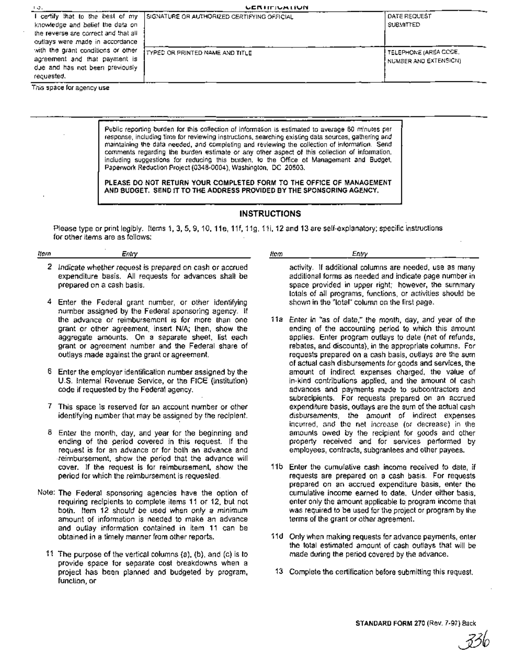| -19.                                                                                                                                             | <b>UCRITIUALIUN</b>                         |                                                |
|--------------------------------------------------------------------------------------------------------------------------------------------------|---------------------------------------------|------------------------------------------------|
| I certify that to the best of my<br>knowledge and belief the data on<br>the reverse are correct and that all<br>outlays were made in accordance. | SIGNATURE OR AUTHORIZED CERTIFYING OFFICIAL | DATE REQUEST<br><b>SUBMITTED</b>               |
| with the grant conditions or other<br>agreement and that payment is<br>due and has not been previously<br>requested.                             | I TYPED OR PRINTED NAME AND TITLE.          | TELEPHONE (AREA CODE,<br>NUMBER AND EXTENSION) |

This space for agency use

Public reporting burden for this collection of information is estimated to average 60 minutes per response, including time for reviewing instructions, searching existing data sources, gathering and maintaining the data needed, and completing and reviewing the collection of information. Send comments regarding the burden estimate or any other aspect of this collection of information, including suggestions for reducing this burden, to the Office of Management and Budget, Paperwork Reduction Project (0348-0004), Washington, DC 20503,

PLEASE DO NOT RETURN YOUR COMPLETED FORM TO THE OFFICE OF MANAGEMENT AND BUDGET. SEND IT TO THE ADDRESS PROVIDED BY THE SPONSORING AGENCY.

#### INSTRUCTIONS

Please type or print legibly. Items 1, 3, 5, 9, 10, 11e, 11f, 11g, 11i, 12 and 13 are self-explanatory; specific instructions for other items are as follows: .

#### Item Entry

- 2 Indicate whether request is prepared on cash or accrued expenditure basis. All requests for advances shall be prepared on a cash basis.
- 4 Enter the Federal grant number, or other identifying number assigned by the Federal sponsoring agency. If the advance or reimbursement is for more than one grant or other agreement, insert N/A; then, show the aggregate amounts. On a separate sheet, list each grant or agreement number and the Federal share of outlays made against the grant or agreement.
- 6 Enter the employer identification number assigned by the U.S. Internal Revenue Service, or the FICE (institution) code if requested by the Federal agency.
- 7 This space is reserved for an account number or other identifying number that may be assigned by the recipient.
- 8 Enter the month, day, and year for the beginning and ending of the period covered in this request. If the request is for an advance or for both an advance and reimbursement, show the period that the advance will cover. If the request is for reimbursement, show the period for which the reimbursement is requested.
- Note: The Federal sponsoring agencies have the option of requiring recipients to complete items 11 or 12, but not both. Item 12 should be used when only a minimum amount of information is needed to make an advance and outlay information contained in item 11 can be obtained in a timely manner from other reports.
	- 11 The purpose of the vertical columns (a), (b), and (c) is to provide space for separate cost breakdowns when a project has been planned and budgeted by program, function, or

Item Entry

activity. If additional columns are needed, use as many additional forms as needed and indicate page number in space provided in upper right; however, the summary totals of all programs, functions, or activities should be shown in the "total" column on the first page.

- 11a Enter in "as of date," the month, day, and year of the ending of the accounting period to which this amount applies. Enter program outlays to date (net of refunds, rebates, and discounts), in the appropriate columns. For requests prepared on a cash basis, outlays are the sum of actual cash disbursements for goods and services, the amount of indirect expenses charged, the value of in-kind contributions applied, and the amount of cash advances and payments made to subcontractors and subrecipients. For requests prepared on an accrued expenditure basis, outlays are the sum of the actual cash disbursements, the amount of indirect expenses incurred, and the net increase (or decrease) in the amounts owed by the recipient for goods and other property received and for services performed by employees, contracts, subgrantees and other payees.
- 11b Enter the cumulative cash income received to date, if requests are prepared on a cash basis. For requests prepared on an accrued expenditure basis, enter the cumulative income earned to date. Under either basis, enter only the amount applicable to program income that was required to be used for the project or program by the terms of the grant or other agreement.
- 11d Only when making requests for advance payments, enter the total estimated amount of cash outlays that will be made during the period covered by the advance.
- 13 Complete the certification before SUbmitting this request.

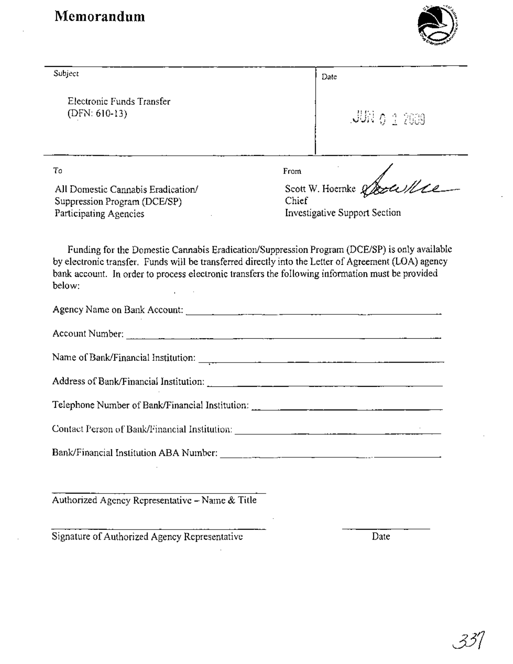# **l\lemorandum**

 $\cdot$ 



J.

| Subject                                                                                                                                                                                                                        | Date                                                                                         |  |  |
|--------------------------------------------------------------------------------------------------------------------------------------------------------------------------------------------------------------------------------|----------------------------------------------------------------------------------------------|--|--|
| Electronic Funds Transfer<br>$(DFN: 610-13)$                                                                                                                                                                                   | $JUV_0$ $1$ $2009$                                                                           |  |  |
| To                                                                                                                                                                                                                             | From                                                                                         |  |  |
| All Domestic Cannabis Eradication/<br>Suppression Program (DCE/SP)<br>Participating Agencies                                                                                                                                   | Scott W. Hoernke & Louis<br>Chief<br>Investigative Support Section                           |  |  |
| by electronic transfer. Funds will be transferred directly into the Letter of Agreement (LOA) agency<br>bank account. In order to process electronic transfers the following information must be provided<br>below:            | Funding for the Domestic Cannabis Eradication/Suppression Program (DCE/SP) is only available |  |  |
|                                                                                                                                                                                                                                |                                                                                              |  |  |
| Account Number: 2008. Communication of the Countries of the Countries of the Countries of the Countries of the Countries of the Countries of the Countries of the Countries of the Countries of the Countries of the Countries |                                                                                              |  |  |
|                                                                                                                                                                                                                                |                                                                                              |  |  |
|                                                                                                                                                                                                                                |                                                                                              |  |  |
|                                                                                                                                                                                                                                |                                                                                              |  |  |
|                                                                                                                                                                                                                                |                                                                                              |  |  |
| Bank/Financial Institution ABA Number:                                                                                                                                                                                         |                                                                                              |  |  |
| Authorized Agency Representative - Name & Title                                                                                                                                                                                |                                                                                              |  |  |
| Signature of Authorized Agency Representative                                                                                                                                                                                  | Date                                                                                         |  |  |

 $\sim 10$ 

 $\ddot{\phantom{a}}$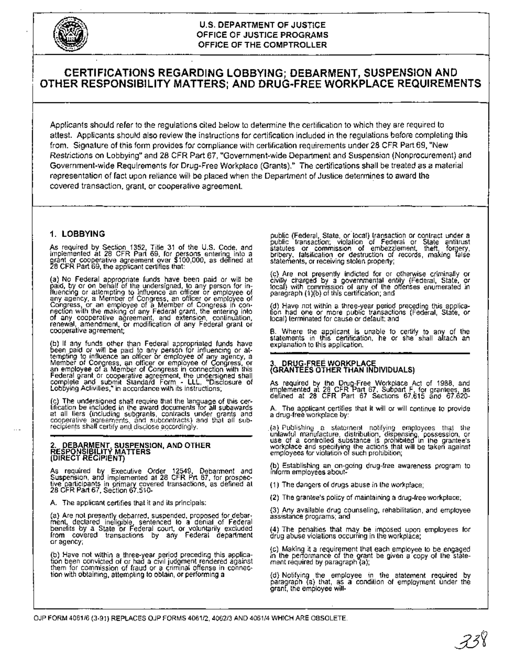

#### **U.S. DEPARTMENT OF JUSTICE OFFICE OF JUSTICE PROGRAMS OFFICE OF THE COMPTROLLER**

#### **CERTIFICATIONS REGARDING LOBBYING; DEBARMENT, SUSPENSION AND OTHER RESPONSIBILITY MATTERS; AND DRUG-FREE WORKPLACE REQUIREMENTS**

Applicants should refer to the regulations cited below to determine the certification to which they are required to attest. Applicants should also review the instructions for certification included in the regulations before completing this from. Signature of this form provides for compliance with certification requirements under 28 CFR Part 69, "New Restrictions on Lobbying" and 28 **CFR** Part 67, "Government-wide Department and Suspension (Nonprocurement) and Government-wide ReqUirements for Drug-Free Workplace (Grants)." The certifications shall be treated as a material representation of fact upon reliance will be placed when the Department of Justice determines to award the covered transaction, grant, or cooperative agreement.

#### **1. LOBBYING**

As required by Section 1352, Title 31 of the U.S. Code. and implemented at <sup>28</sup> CFR Part 69. for persons entering into <sup>a</sup> grant or cooperative agreement over \$100.000. as defined at 28 CFR Part 69, the applicant certifies that:

(a) No Federal appropriate funds have been paid or will be<br>paid, by or on behalf of the undersigned, to any person for in-<br>diuencing or attempting to influence an officer or employee of<br>any agency, a Member of Congress, an

(b) If any funds other than Federal appropriated funds have<br>been paid or will be paid to any person for influencing or at-<br>tempting to influence an officer or employee of any agency, a<br>Member of Congress, an officer or emp Federal grant or cooperative agreement, the undersigned shall complete and submit Standard Form - LLL, "Disclosure of Lobbying Activities," in accordance with its instructions;

(c) The undersigned shall require that the language of this cer- tification be included in the award documents lor all subawards at all fiers (including subgrants, contracts under grants and<br>cooperative agreements, and subcontracts) and that all sub-<br>recipients.shall.certify.and.disclose.accordingly.

# 2. DEBARMEN\~ **SUSPENSION, AND OTHER RESPONSIBILlTr MATTERS (DIRECT RECIPIENT)**

As required by Executive Order 12549. Debarment and Suspension. ana implemented at 28 CFR Prt 67, for prospec-tive Qarticipants in primary covered transactions, as defined at 28 CFR Part 67, Section 67.510-

A. The applicant certifies that it and its principals:

(a) Are not presently debarred, suspended. proposed for debar-ment, declared ineligible sentenced to a denial of Federal benefits by a State or Federal court. or voluntarily excluded from covered transactions by any Federal department<br>or agency;

(b) Have not within a three-year period preceding this applica-<br>tion been convicted of or had a civil judgment rendered against<br>them for commission of fraud or a criminal offense in connec-<br>tion with obtaining, attempling

public (Federal, State. or" local) transaction or contract under <sup>a</sup> public transaction; violation of Federal or State antitrust statutes or commission of embezzlement, theft, forgery,<br>bribery, falsification or destruction of records, making false statements, or receiving stolen property;

(c) Are not presently indicted for or otherwise criminally or<br>civilly charged by a governmental entity (Federal, State, or<br>focal) with commission of any of the offenses enumerated in<br>paragraph (1){b) of this certification;

(d) Have not within a three-year period preceding this applica-tion had one or more public transactions (Federal, State, or local) terminated for cause or default; and

B. Where the applicant is unable to certify to any of the<br>statements in this certification, he or she shall attach an<br>explanation.to.this.application.

# 3. **DRUG-FREE WORKPLACE (GRANTEES OTHER THAN INDIVIDUALS)**

As required by the Drug-Free Workplace Act of 1988. and implemented at <sup>28</sup> CFR Part 67, Subpart F, for grantees). as defined at <sup>28</sup> CFR Part <sup>67</sup> Sections 67.615 and 67.020-

A. The applicant certifies that it will or will continue to provide <sup>a</sup> drug-free workplace by:

(a) Publishing a statement notifying employees that the unlawful manufacture, distribution, dispensing, possession, or use of a controlled substance is prohibited in the grantee's workplace and specifying the actions that

(b) Establishing an on-going drug-free awareness program to Inform employees about-

(1) The dangers of drugs abuse in the workplace;

(2) The grantee's policy of maintaining a drug-free workplace;

(3) Any available drug counseling. rehabilitation, and employee assistance programs; and

(4) The penalties that may be imposed upon employees for drug abuse violations occurring in the workplace;

(c) Making it a requirement that each employee to be engaged in the performance of the grant be given a copy of the state-ment required by paragraph (a);

(d) Notifying the employee in the statement required by paragraph (a) that. as a condition of employment under the granf. the employee will-

OJP FORM *4061/6* (3-91) REPLACES OJP FORMS *4061/2, 4062/3* AND *4061/4* WHICH ARE OBSOLETE.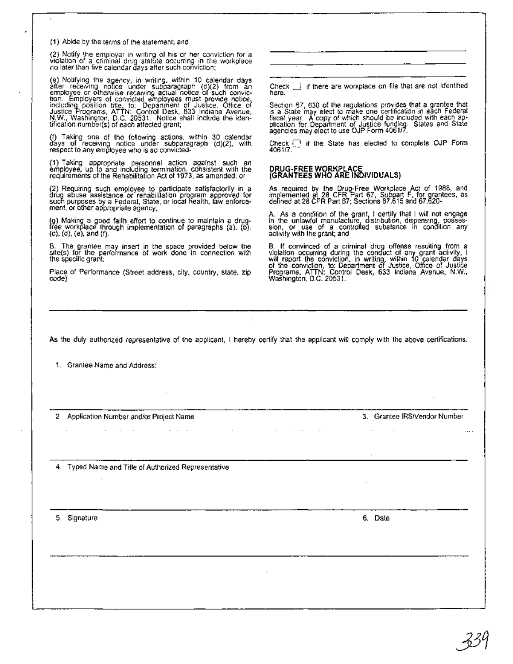(1) Abide by the terms of the statement; and

(2) Notify the employer in writing of his or her conviction for a violation of a criminal drug statute occurring in the workplace no later than five calendar days after such conviction;

(e) Notifying the agency, in writing, within 10 calendar days<br>after receiving notice under subparagraph: (d)(2) from an<br>employee or otherwise receiving actual notice of such conviction. Employers of convicted employees mus

(f) Taking one of the following actions, within 30 calendar days of receiving notice under subparagraph (d)(2), with respect to any employee who is so convicted-

(1) Taking appropriate personnel action against such an employee, up to and including termination, consistent with the requirements of the Rehabilitation Act of 1973, as amended; or

(2) Requiring such employee to participate satisfactorily in a drug abuse assistance or rehabilitation program approved for such purposes by a Federal, State, or local nealth, law enforce-ment, or other appropriate agency;

(g) Making a good faith effort to continue to maintain a drug-<br>free workplace through implementation of paragraphs (a), (b), (c), (d), (e), and (f).

B. The grantee may insert in the space provided below the site(s) for the performance of work done in connection with the specific grant:

Place of Performance (Street address, city, country, state, zip code)

Check  $\Box$  if there are workplace on file that are not identified here.

Section 67, 630 of the regulations provides that a grantee that is a State may elect to make one certification in each Federal<br>fiscal year. A copy of which should be included with each ap-<br>plication for Department of Justice funding. States and State<br>agencies may elect to use OJP Form

Check  $\Box$  if the State has elected to complete OJP Form 4061/7.

# **DRUG·FREE WORKPLACE (GRANTEES WHO ARE INDIVIDUALS)**

As required by the Drug-Free Workplace Act of 1988, and<br>implemented at 28 CFR Part 67, Subpart F, for grantees, as<br>defined at 28 CFR Part 67; Sections 67.615 and 67.620-

A. As a condition of the grant, I certify that I will not engage<br>in the unlawful manufacture, distribution, dispensing, posses-<br>sion, or use of a controlled substance in condition any<br>activity with the grant; and

B. If convinced of a criminal drug offense resulting from a violation occurring during the conduct of any grant activity, I will report the conviction, in writing, within 10 calendar days of the conviction, to: Department

As the duly authorized representative of the applicant, I hereby certify that the applicant will comply with the above certifications.

1. Grantee Name and Address:

2. Application Number and/or Project Name **Contract Contract** 

3. Grantee IRSNendor Number

4. Typed Name and Title of Authorized Representative

 $\mathcal{L}=\mathcal{L}=\mathcal{L}$ 

5. Signature

6. Date

 $\cdots$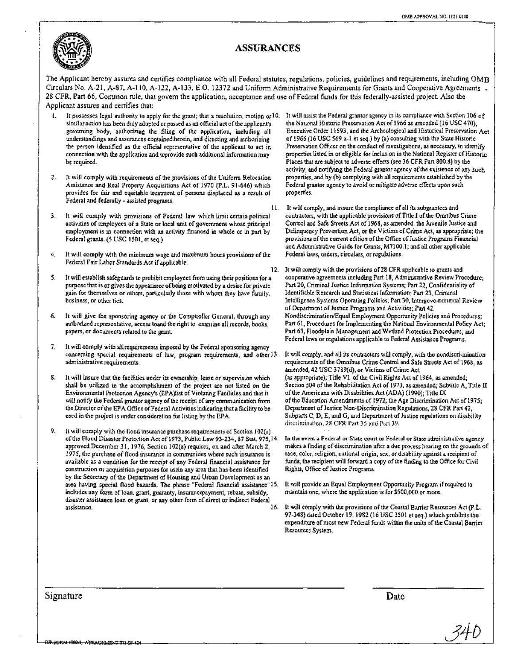

#### **ASSURANCES**

The Applicant hereby assures and certifies compliance with all Federal statutes, regulations, policies, guidelines and requirements, including OMB Circulars No. A-21, A-87, A-110, A-122, A-133; E.O. 12372 and Uniform Administrative Requirements for Grants and Cooperative Agreements \_ 28 CFR, Part 66, Common rule, that govern the application, acceptance and use of Federal funds for this federally-assisted project. Also the Applicant assures and certifies that:

- similar action has been duly adopted or passed as an official act of the applicant's governing body, authorizing the filing of the application, including all understandings and assurances containedtherein, and directing and authorizing the person identified as the official representative of the applicant to act in connection with the application and toprovide such additional information may be required.
- It will comply with requirements of the provisions of the Uniform Relocation Assistance and Real Property Acquisitions Act of 1970 (P.L. 91-646) which provides for fair and equitable treatment of persons displaced as a result of Federal and federally - assisted programs. 2.
- It will comply with provisions of Federal law which limit certain political activities of employees of a State or local unit of government whose principal employment is in connection with an activity financed in whole or in part by Federal grants. (5 USC 1501, et seq.) 3.
- It will comply with the minimum wage and maximum hours provisions of the Federal Fair Labor Standards Act if applicable. 4.
- It will establish safeguards to prohibit employees from using their positions for a purpose that is or gives the appearance ofbeing motivated by a desire for private gain for themselves or others, particularly those with whom they have family, business, or other ties. 5.
- It will give the sponsoring agency or the Comptroller General, through any authorized representative, access toand the right to examine all records, books, papers, or documents related to the grant. 6.
- It will comply with allrequirements imposed by the Federal sponsoring agency concerning special requirements of law, program requirements, and other 13. administrative requirements. 7.
- It will insure that the facilities under its ownership, lease or supervision which shall be utilized in the accomplishment of the project are not listed on the Environmental Protection Agency's (EPA)list of Violating Facilities and that it will notify the Federal grantor agency of the receipt of any communication from the Director of the EPA Office of Federal Activities indicating that a facility to be used in the project is under consideration for listing by the EPA. 8.
- Itwill comply with the-flood insurance purchase requirements of Section 102(a) ofthe Flood Disaster Protection Act of 1973, Public Law 93-234,87 Stat. 975,14. approved December 31, 1976, Section 102(a) requires, on and after March 2, 1975, the purchase of flood insurance in communities where such insurance is available as a condition for the receipt of any Federal financial assistance for construction or acquisition purposes for usein any area that has been identified by the Secretary of the Department of Housing and Urban Development as an area having special flood hazards. The phrase "Federal financial assistance" IS. includes any form of loan, grant, guaranty, insurancepayment, rebate, subsidy, disaster assistance loan or grant, or any other form of direct or indirect Federal  $\alpha$ ssistance.  $16.$ 9.
- I. It possesses legal authority to apply for the grant; that a resolution, motion or 10. It will assist the Federal grantor agency in its compliance with Section 106 of the National Historic Preservation Act of 1966 as amended (16 USC 470), Executive Order 11593, and the Archeological and Historical Preservation Act of 1966 (16 USC 569 a-I et seq.) by (a) consulting with the State Historic Preservation Officer on the conduct of investigations, as necessary, to identify properties listed in or eligible for inclusion in the National Register of Historic Places that are subject to adverse effects (see 36 CFR Part 800.8) by the activity, and notifying the Federal grantor agency of the existence of any such properties, and by (b) complying with all requirements established by the Federal grantor agency to avoid ormitigate adverse effects upon such properties.
	- It will comply, and assure the compliance of all its subgrantees and II. contractors, with the applicable provisions of Title I of the Omnibus Crime Control and Safe Streets Act of 1968, as amended, the Juvenile Justice and Delinquency Prevention Act, or the Victims ofCrime Act, as appropriate; the provisions of the current edition of the Office of Justice Programs Financial and Administrative Guide for Grants, M7100.l; and all other applicable Federal laws, orders, circulars, or regulations.
	- It will comply with the provisions of28 CFR applicable to grants and cooperative agreements including Part 18, Administrative Review Procedure; Part 20, Criminal Justice Information Systems; Part 22, Confidentiality of Identifiable Research and Statistical Information; Part 23, Criminal Intelligence Systems Operating Policies; Part 30, Intergove-mmental Review ofDepartment ofJustice Programs and Activities; Part 42, Nondiscrimination/Equal Employment Opportunity Policies and Procedures; Part 61, Procedures for Implementing the National Environmental Policy Act; Part 63, Floodplain Management and Wetland Protection Procedures; and Federal laws or regulations applicable to Federal Assistance Programs. 12.
		- It will comply, and all its contractors will comply, with the nondiscri-mination requirements of the Omnibus Crime Control and Safe Streets Act of 1968, as amended, 42 USC 3789(d), or Victims of Crime Act (as appropriate); Title VI of the Civil Rights Act of 1964, as amended; Section 504 of the Rehabilitation Act of 1973, as amended; Subtitle A, Title II of the Americans with Disabilities Act (ADA) (1990); Title IX ofthe Education Amendments of 1972; the Age Discrimination Act of 1975; Department of Justice Non-Discrimination Regulations, 28 CFR Part 42, Subparts C, D, E, and G; and Department of Justice regulations on disability discrimination, 28 CFR Part 35 and Part 39.
		- In the event a Federal or State court or Federal Or State administrative agency makes a finding of discrimination after a due process hearing on the grounds of race, color, religion, national origin, sex, or disability against a recipient of funds, the recipient will forward a copy ofthe finding to the Office for Civil Rights, Office of Justice Programs.
		- It will provide an Equal Employment Opportunity Program ifrequired to maintain one, where the application is for \$500,000 or more.
	- It will comply with the provisions ofthe Coastal Barrier Resources Act (p.L. 97-348) dated October 19,1982 (16 USC 3501 et seq.) which prohibits the expenditure of most new Federal funds within the units of the Coastal Barrier Resources System.

Signature **Date** 

J4D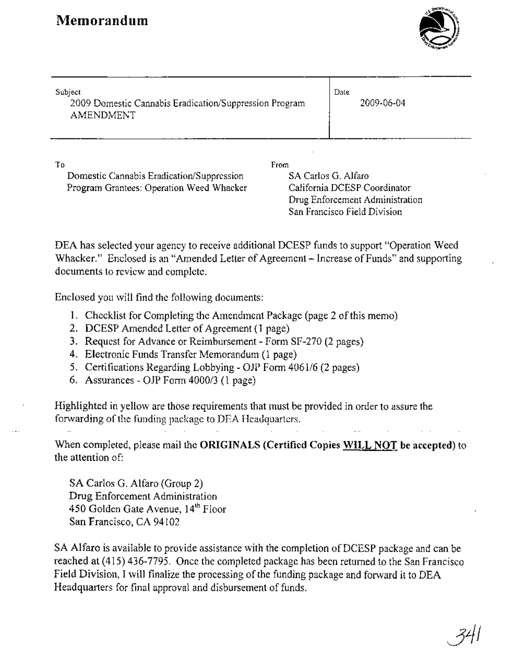

| Subject<br>2009 Domestic Cannabis Eradication/Suppression Program<br>AMENDMENT              | Date<br>2009-06-04          |                              |
|---------------------------------------------------------------------------------------------|-----------------------------|------------------------------|
| Τo<br>Domestic Cannabis Eradication/Suppression<br>Program Grantees: Operation Weed Whacker | From<br>SA Carlos G. Alfaro | California DCESP Coordinator |

DEA has selected your agency to receive additional DCESP funds to support "Operation Weed Whacker." Enclosed is an "Amended Letter of Agreement - Increase of Funds" and supporting documents to review and complete.

Drug Enforcement Administration San Francisco Field Division

Enclosed you will find the following documents:

- 1. Checklist for Completing the Amendment Package (page 2 ofthis memo)
- 2. DCESP Amended Letter of Agreement (1 page)
- 3. Request for Advance or Reimbursement Form SF-270 (2 pages)
- 4. Electronic Funds Transfer Memorandum (l page)
- 5. Certifications Regarding Lobbying OJP Form 4061/6 (2 pages)
- 6. Assurances *OlP* Form 4000/3 (l page)

Highlighted in yellow are those requirements that must be provided in order to assure the forwarding ofthe funding package to DEA Headquarters.

When completed, please mail the **ORIGINALS (Certified Copies WILL NOT be accepted)** to the attention of:

SA Carlos G. Alfaro (Group 2) Drug Enforcement Administration 450 Golden Gate Avenue, 14<sup>th</sup> Floor San Francisco, CA 94102

SA Alfaro is available to provide assistance with the completion of DCESP package and can be reached at (415) 436-7795. Once the completed package has been returned to the San Francisco Field Division, I will finalize the processing of the funding package and forward it to DEA Headquarters for final approval and disbursement of funds.